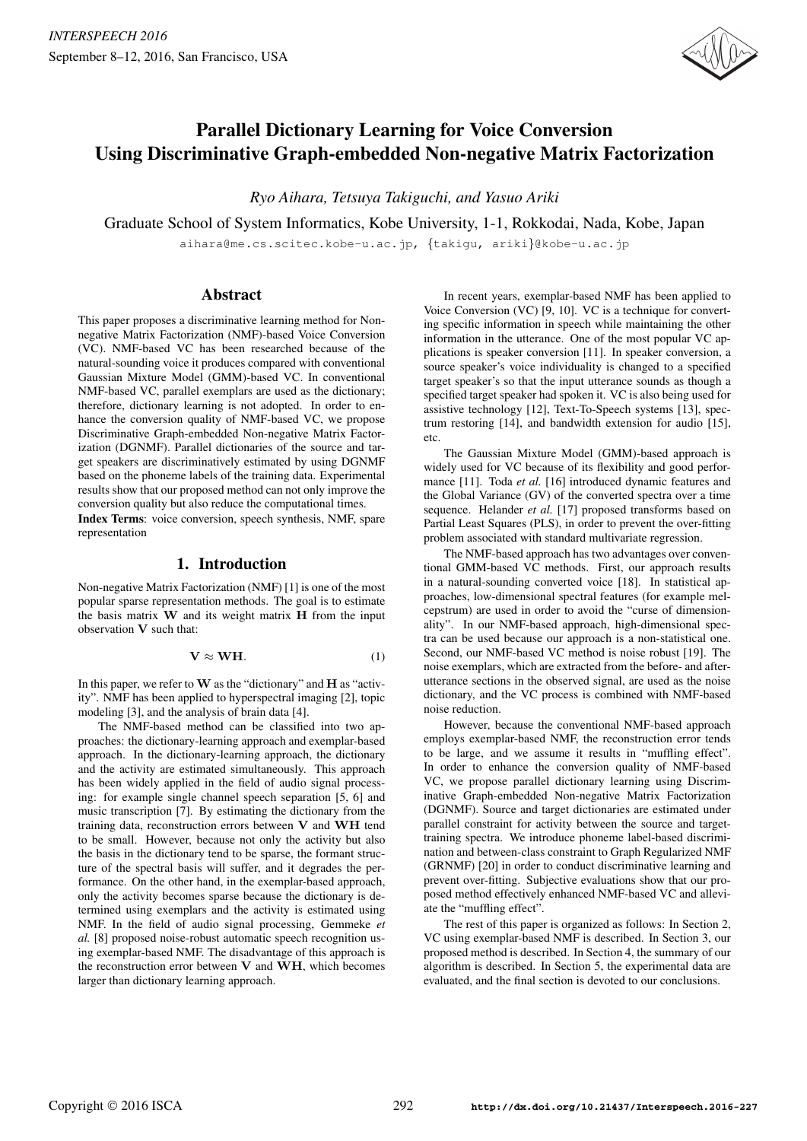

# Parallel Dictionary Learning for Voice Conversion Using Discriminative Graph-embedded Non-negative Matrix Factorization

*Ryo Aihara, Tetsuya Takiguchi, and Yasuo Ariki*

Graduate School of System Informatics, Kobe University, 1-1, Rokkodai, Nada, Kobe, Japan

aihara@me.cs.scitec.kobe-u.ac.jp, {takigu, ariki}@kobe-u.ac.jp

## Abstract

This paper proposes a discriminative learning method for Nonnegative Matrix Factorization (NMF)-based Voice Conversion (VC). NMF-based VC has been researched because of the natural-sounding voice it produces compared with conventional Gaussian Mixture Model (GMM)-based VC. In conventional NMF-based VC, parallel exemplars are used as the dictionary; therefore, dictionary learning is not adopted. In order to enhance the conversion quality of NMF-based VC, we propose Discriminative Graph-embedded Non-negative Matrix Factorization (DGNMF). Parallel dictionaries of the source and target speakers are discriminatively estimated by using DGNMF based on the phoneme labels of the training data. Experimental results show that our proposed method can not only improve the conversion quality but also reduce the computational times.

Index Terms: voice conversion, speech synthesis, NMF, spare representation

# 1. Introduction

Non-negative Matrix Factorization (NMF) [1] is one of the most popular sparse representation methods. The goal is to estimate the basis matrix **W** and its weight matrix **H** from the input observation **V** such that:

$$
\mathbf{V} \approx \mathbf{WH}.\tag{1}
$$

In this paper, we refer to**W** as the "dictionary" and **H** as "activity". NMF has been applied to hyperspectral imaging [2], topic modeling [3], and the analysis of brain data [4].

The NMF-based method can be classified into two approaches: the dictionary-learning approach and exemplar-based approach. In the dictionary-learning approach, the dictionary and the activity are estimated simultaneously. This approach has been widely applied in the field of audio signal processing: for example single channel speech separation [5, 6] and music transcription [7]. By estimating the dictionary from the training data, reconstruction errors between **V** and **WH** tend to be small. However, because not only the activity but also the basis in the dictionary tend to be sparse, the formant structure of the spectral basis will suffer, and it degrades the performance. On the other hand, in the exemplar-based approach, only the activity becomes sparse because the dictionary is determined using exemplars and the activity is estimated using NMF. In the field of audio signal processing, Gemmeke *et al.* [8] proposed noise-robust automatic speech recognition using exemplar-based NMF. The disadvantage of this approach is the reconstruction error between **V** and **WH**, which becomes larger than dictionary learning approach.

In recent years, exemplar-based NMF has been applied to Voice Conversion (VC) [9, 10]. VC is a technique for converting specific information in speech while maintaining the other information in the utterance. One of the most popular VC applications is speaker conversion [11]. In speaker conversion, a source speaker's voice individuality is changed to a specified target speaker's so that the input utterance sounds as though a specified target speaker had spoken it. VC is also being used for assistive technology [12], Text-To-Speech systems [13], spectrum restoring [14], and bandwidth extension for audio [15], etc.

The Gaussian Mixture Model (GMM)-based approach is widely used for VC because of its flexibility and good performance [11]. Toda *et al.* [16] introduced dynamic features and the Global Variance (GV) of the converted spectra over a time sequence. Helander *et al.* [17] proposed transforms based on Partial Least Squares (PLS), in order to prevent the over-fitting problem associated with standard multivariate regression.

The NMF-based approach has two advantages over conventional GMM-based VC methods. First, our approach results in a natural-sounding converted voice [18]. In statistical approaches, low-dimensional spectral features (for example melcepstrum) are used in order to avoid the "curse of dimensionality". In our NMF-based approach, high-dimensional spectra can be used because our approach is a non-statistical one. Second, our NMF-based VC method is noise robust [19]. The noise exemplars, which are extracted from the before- and afterutterance sections in the observed signal, are used as the noise dictionary, and the VC process is combined with NMF-based noise reduction.

However, because the conventional NMF-based approach employs exemplar-based NMF, the reconstruction error tends to be large, and we assume it results in "muffling effect". In order to enhance the conversion quality of NMF-based VC, we propose parallel dictionary learning using Discriminative Graph-embedded Non-negative Matrix Factorization (DGNMF). Source and target dictionaries are estimated under parallel constraint for activity between the source and targettraining spectra. We introduce phoneme label-based discrimination and between-class constraint to Graph Regularized NMF (GRNMF) [20] in order to conduct discriminative learning and prevent over-fitting. Subjective evaluations show that our proposed method effectively enhanced NMF-based VC and alleviate the "muffling effect".

The rest of this paper is organized as follows: In Section 2, VC using exemplar-based NMF is described. In Section 3, our proposed method is described. In Section 4, the summary of our algorithm is described. In Section 5, the experimental data are evaluated, and the final section is devoted to our conclusions.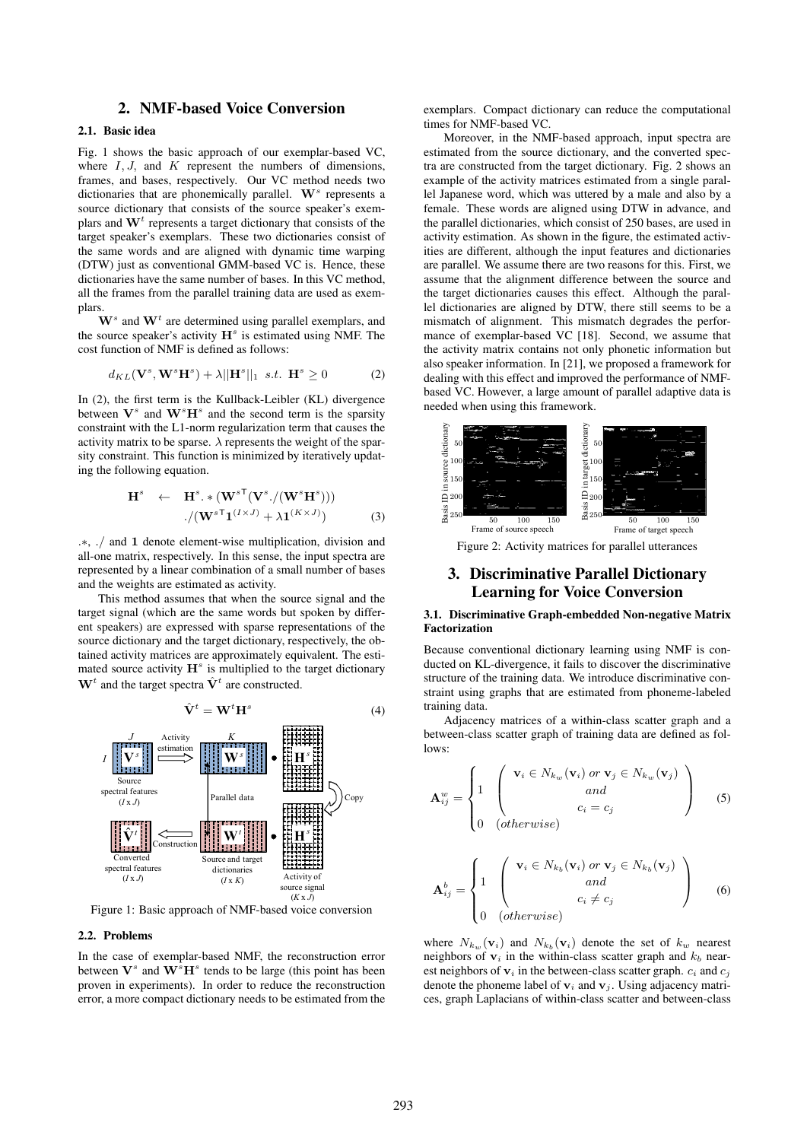# 2. NMF-based Voice Conversion

#### 2.1. Basic idea

Fig. 1 shows the basic approach of our exemplar-based VC, where  $I, J$ , and  $K$  represent the numbers of dimensions, frames, and bases, respectively. Our VC method needs two dictionaries that are phonemically parallel. W<sup>s</sup> represents a source dictionary that consists of the source speaker's exemplars and  $W<sup>t</sup>$  represents a target dictionary that consists of the target speaker's exemplars. These two dictionaries consist of the same words and are aligned with dynamic time warping (DTW) just as conventional GMM-based VC is. Hence, these dictionaries have the same number of bases. In this VC method, all the frames from the parallel training data are used as exemplars.

 $\mathbf{W}^s$  and  $\mathbf{W}^t$  are determined using parallel exemplars, and the source speaker's activity  $H<sup>s</sup>$  is estimated using NMF. The cost function of NMF is defined as follows:

$$
d_{KL}(\mathbf{V}^s, \mathbf{W}^s \mathbf{H}^s) + \lambda ||\mathbf{H}^s||_1 \ \ s.t. \ \ \mathbf{H}^s \ge 0 \tag{2}
$$

In (2), the first term is the Kullback-Leibler (KL) divergence between  $V^s$  and  $W^sH^s$  and the second term is the sparsity constraint with the L1-norm regularization term that causes the activity matrix to be sparse.  $\lambda$  represents the weight of the sparsity constraint. This function is minimized by iteratively updating the following equation.

$$
\mathbf{H}^{s} \leftarrow \mathbf{H}^{s} \cdot * (\mathbf{W}^{s}{}^{\mathsf{T}} (\mathbf{V}^{s}./ (\mathbf{W}^{s} \mathbf{H}^{s}))) \n./ (\mathbf{W}^{s}{}^{\mathsf{T}} \mathbf{1}^{(I \times J)} + \lambda \mathbf{1}^{(K \times J)})
$$
\n(3)

.∗, ./ and **1** denote element-wise multiplication, division and all-one matrix, respectively. In this sense, the input spectra are represented by a linear combination of a small number of bases and the weights are estimated as activity.

This method assumes that when the source signal and the target signal (which are the same words but spoken by different speakers) are expressed with sparse representations of the source dictionary and the target dictionary, respectively, the obtained activity matrices are approximately equivalent. The estimated source activity  $\mathbf{H}^s$  is multiplied to the target dictionary  $W<sup>t</sup>$  and the target spectra  $\hat{V}$ <sup>t</sup> are constructed.



Figure 1: Basic approach of NMF-based voice conversion

#### 2.2. Problems

In the case of exemplar-based NMF, the reconstruction error between  $V^s$  and  $W^s H^s$  tends to be large (this point has been proven in experiments). In order to reduce the reconstruction error, a more compact dictionary needs to be estimated from the exemplars. Compact dictionary can reduce the computational times for NMF-based VC.

Moreover, in the NMF-based approach, input spectra are estimated from the source dictionary, and the converted spectra are constructed from the target dictionary. Fig. 2 shows an example of the activity matrices estimated from a single parallel Japanese word, which was uttered by a male and also by a female. These words are aligned using DTW in advance, and the parallel dictionaries, which consist of 250 bases, are used in activity estimation. As shown in the figure, the estimated activities are different, although the input features and dictionaries are parallel. We assume there are two reasons for this. First, we assume that the alignment difference between the source and the target dictionaries causes this effect. Although the parallel dictionaries are aligned by DTW, there still seems to be a mismatch of alignment. This mismatch degrades the performance of exemplar-based VC [18]. Second, we assume that the activity matrix contains not only phonetic information but also speaker information. In [21], we proposed a framework for dealing with this effect and improved the performance of NMFbased VC. However, a large amount of parallel adaptive data is needed when using this framework.



# 3. Discriminative Parallel Dictionary Learning for Voice Conversion

#### 3.1. Discriminative Graph-embedded Non-negative Matrix Factorization

Because conventional dictionary learning using NMF is conducted on KL-divergence, it fails to discover the discriminative structure of the training data. We introduce discriminative constraint using graphs that are estimated from phoneme-labeled training data.

Adjacency matrices of a within-class scatter graph and a between-class scatter graph of training data are defined as follows:

$$
\mathbf{A}_{ij}^{w} = \begin{cases} 1 & \left( \mathbf{v}_i \in N_{k_w}(\mathbf{v}_i) \text{ or } \mathbf{v}_j \in N_{k_w}(\mathbf{v}_j) \\ \text{and} \\ c_i = c_j \\ 0 & (\text{otherwise}) \end{cases}
$$
(5)

$$
\mathbf{A}_{ij}^{b} = \begin{cases} 1 & \left( \mathbf{v}_{i} \in N_{k_{b}}(\mathbf{v}_{i}) \text{ or } \mathbf{v}_{j} \in N_{k_{b}}(\mathbf{v}_{j}) \\ \text{and} \\ 0 & \text{(otherwise)} \end{cases}
$$
 (6)

where  $N_{k_{on}}(\mathbf{v}_i)$  and  $N_{k_{on}}(\mathbf{v}_i)$  denote the set of  $k_w$  nearest neighbors of  $v_i$  in the within-class scatter graph and  $k_b$  nearest neighbors of  $v_i$  in the between-class scatter graph.  $c_i$  and  $c_j$ denote the phoneme label of  $v_i$  and  $v_j$ . Using adjacency matrices, graph Laplacians of within-class scatter and between-class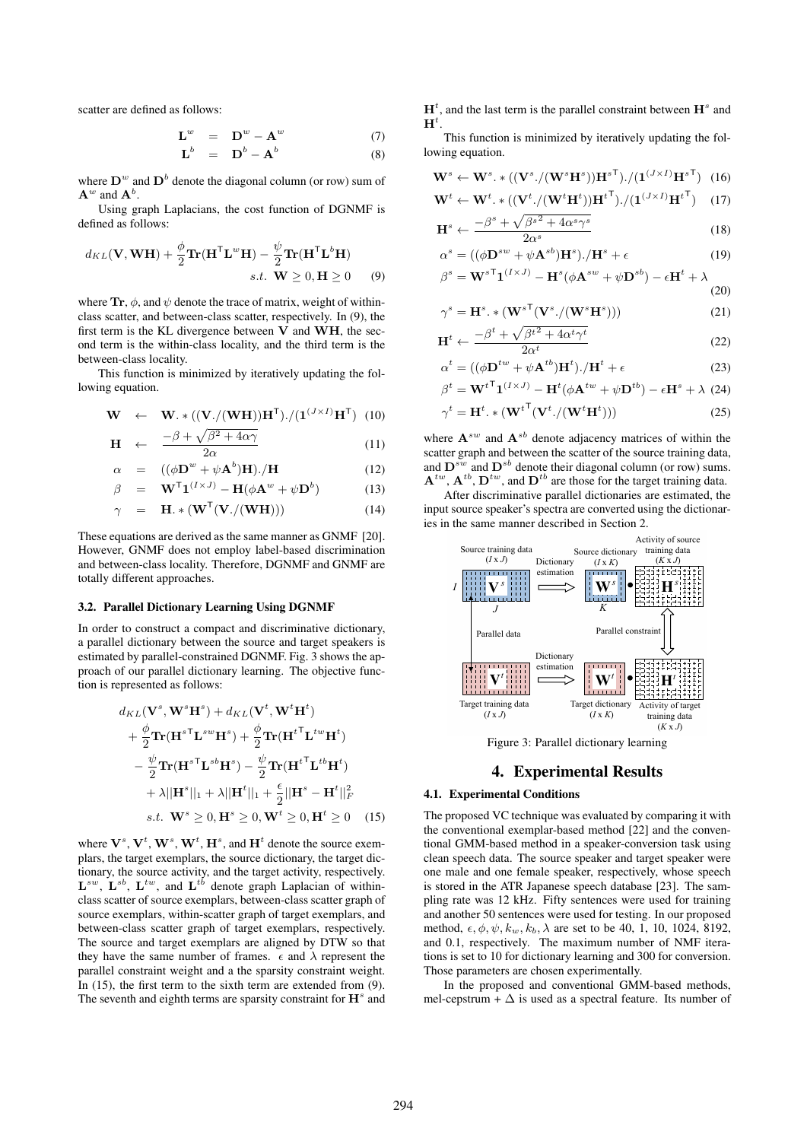scatter are defined as follows:

$$
\mathbf{L}^{w} = \mathbf{D}^{w} - \mathbf{A}^{w}
$$
 (7)  

$$
\mathbf{L}^{b} = \mathbf{D}^{b} - \mathbf{A}^{b}
$$
 (8)

where  $D^w$  and  $D^b$  denote the diagonal column (or row) sum of  $\mathbf{A}^w$  and  $\mathbf{A}^b$ .

Using graph Laplacians, the cost function of DGNMF is defined as follows:

$$
d_{KL}(\mathbf{V}, \mathbf{W}\mathbf{H}) + \frac{\phi}{2} \mathbf{Tr}(\mathbf{H}^{\mathsf{T}} \mathbf{L}^w \mathbf{H}) - \frac{\psi}{2} \mathbf{Tr}(\mathbf{H}^{\mathsf{T}} \mathbf{L}^b \mathbf{H})
$$
  
s.t.  $\mathbf{W} \ge 0, \mathbf{H} \ge 0$  (9)

where  $\text{Tr}, \phi$ , and  $\psi$  denote the trace of matrix, weight of withinclass scatter, and between-class scatter, respectively. In (9), the first term is the KL divergence between **V** and **WH**, the second term is the within-class locality, and the third term is the between-class locality.

This function is minimized by iteratively updating the following equation.

$$
\mathbf{W} \quad \leftarrow \quad \mathbf{W} \cdot * ((\mathbf{V}./(\mathbf{WH}))\mathbf{H}^{\mathsf{T}})./(1^{(J \times I)}\mathbf{H}^{\mathsf{T}}) \tag{10}
$$

$$
\mathbf{H} \leftarrow \frac{-\beta + \sqrt{\beta^2 + 4\alpha\gamma}}{2\alpha} \tag{11}
$$
\n
$$
\mathcal{L} \left( (\mathbf{H}^w + \mathbf{H}^b)^T \right) / \mathbf{H} \tag{12}
$$

$$
\alpha = ((\phi \mathbf{D}^w + \psi \mathbf{A}^b) \mathbf{H}). / \mathbf{H}
$$
 (12)

$$
\beta = \mathbf{W}^{\mathsf{T}} \mathbf{1}^{(I \times J)} - \mathbf{H} (\phi \mathbf{A}^w + \psi \mathbf{D}^b)
$$
(13)

$$
\gamma = \mathbf{H}.*(\mathbf{W}^{\mathsf{T}}(\mathbf{V}./(\mathbf{W}\mathbf{H})))
$$
 (14)

These equations are derived as the same manner as GNMF [20]. However, GNMF does not employ label-based discrimination and between-class locality. Therefore, DGNMF and GNMF are totally different approaches.

#### 3.2. Parallel Dictionary Learning Using DGNMF

In order to construct a compact and discriminative dictionary, a parallel dictionary between the source and target speakers is estimated by parallel-constrained DGNMF. Fig. 3 shows the approach of our parallel dictionary learning. The objective function is represented as follows:

$$
d_{KL}(\mathbf{V}^s, \mathbf{W}^s \mathbf{H}^s) + d_{KL}(\mathbf{V}^t, \mathbf{W}^t \mathbf{H}^t) + \frac{\phi}{2} \mathbf{Tr}(\mathbf{H}^{s \mathsf{T}} \mathbf{L}^{sw} \mathbf{H}^s) + \frac{\phi}{2} \mathbf{Tr}(\mathbf{H}^{t \mathsf{T}} \mathbf{L}^{tw} \mathbf{H}^t) - \frac{\psi}{2} \mathbf{Tr}(\mathbf{H}^{s \mathsf{T}} \mathbf{L}^{sb} \mathbf{H}^s) - \frac{\psi}{2} \mathbf{Tr}(\mathbf{H}^{t \mathsf{T}} \mathbf{L}^{tb} \mathbf{H}^t) + \lambda ||\mathbf{H}^s||_1 + \lambda ||\mathbf{H}^t||_1 + \frac{\epsilon}{2} ||\mathbf{H}^s - \mathbf{H}^t||_F^2 s.t. \mathbf{W}^s \ge 0, \mathbf{H}^s \ge 0, \mathbf{W}^t \ge 0, \mathbf{H}^t \ge 0
$$
 (15)

where  $\mathbf{V}^s$ ,  $\mathbf{V}^t$ ,  $\mathbf{W}^s$ ,  $\mathbf{W}^t$ ,  $\mathbf{H}^s$ , and  $\mathbf{H}^t$  denote the source exemplars, the target exemplars, the source dictionary, the target dictionary, the source activity, and the target activity, respectively.  $\mathbf{L}^{sw}$ ,  $\mathbf{L}^{sb}$ ,  $\mathbf{L}^{tw}$ , and  $\mathbf{L}^{tb}$  denote graph Laplacian of withinclass scatter of source exemplars, between-class scatter graph of source exemplars, within-scatter graph of target exemplars, and between-class scatter graph of target exemplars, respectively. The source and target exemplars are aligned by DTW so that they have the same number of frames.  $\epsilon$  and  $\lambda$  represent the parallel constraint weight and a the sparsity constraint weight. In  $(15)$ , the first term to the sixth term are extended from  $(9)$ . The seventh and eighth terms are sparsity constraint for  $\mathbf{H}^s$  and  $H<sup>t</sup>$ , and the last term is the parallel constraint between  $H<sup>s</sup>$  and  $\mathbf{H}^{t}$ .

This function is minimized by iteratively updating the following equation.

$$
\mathbf{W}^{s} \leftarrow \mathbf{W}^{s} \cdot * ((\mathbf{V}^{s}./(\mathbf{W}^{s}\mathbf{H}^{s}))\mathbf{H}^{s\top})./(\mathbf{1}^{(J \times I)}\mathbf{H}^{s\top}) \quad (16)
$$
  

$$
\mathbf{W}^{t} \leftarrow \mathbf{W}^{t} \cdot * ((\mathbf{V}^{t}./(\mathbf{W}^{t}\mathbf{H}^{t}))\mathbf{H}^{t\top})./(\mathbf{1}^{(J \times I)}\mathbf{H}^{t\top}) \quad (17)
$$

$$
\mathbf{W}^{t} \leftarrow \mathbf{W}^{t} \cdot * ((\mathbf{V}^{t} \cdot / (\mathbf{W}^{t} \mathbf{H}^{t})) \mathbf{H}^{t}^{\mathsf{T}}) \cdot / (\mathbf{1}^{(J \times I)} \mathbf{H}^{t}^{\mathsf{T}})
$$
(17)  

$$
\mathbf{H}^{s} \leftarrow \frac{-\beta^{s} + \sqrt{\beta^{s^{2}} + 4\alpha^{s} \gamma^{s}}}{2\alpha^{s}}
$$
(18)

$$
\mathbf{I}^{s} \leftarrow \frac{\rho + \mathbf{V}\rho + \mathbf{K}t}{2\alpha^{s}} \tag{18}
$$
\n
$$
s \quad ((4\mathbf{D}^{sw} + \mathbf{A}^{sb})\mathbf{H}^{s}) / \mathbf{H}^{s} \tag{19}
$$

$$
\alpha^s = ((\phi \mathbf{D}^{sw} + \psi \mathbf{A}^{sb}) \mathbf{H}^s) \cdot / \mathbf{H}^s + \epsilon
$$
\n
$$
\beta^s = \mathbf{W}^{s \mathsf{T}} \mathbf{1}^{(I \times J)} - \mathbf{H}^s (\phi \mathbf{A}^{sw} + \psi \mathbf{D}^{sb}) - \epsilon \mathbf{H}^t + \lambda
$$
\n(20)

$$
\gamma^s = \mathbf{H}^s. * (\mathbf{W}^{s \mathsf{T}} (\mathbf{V}^s. / (\mathbf{W}^s \mathbf{H}^s)))
$$
\n(21)

$$
\mathbf{H}^{t} \leftarrow \frac{-\beta^{t} + \sqrt{\beta^{t}^{2} + 4\alpha^{t}\gamma^{t}}}{2\alpha^{t}} \tag{22}
$$

$$
\alpha^t = ((\phi \mathbf{D}^{tw} + \psi \mathbf{A}^{tb}) \mathbf{H}^t). / \mathbf{H}^t + \epsilon
$$
\n(23)

$$
\beta^t = \mathbf{W}^{t \top} \mathbf{1}^{(I \times J)} - \mathbf{H}^t (\phi \mathbf{A}^{tw} + \psi \mathbf{D}^{tb}) - \epsilon \mathbf{H}^s + \lambda \tag{24}
$$

$$
\gamma^t = \mathbf{H}^t \cdot * (\mathbf{W}^{t \mathsf{T}} (\mathbf{V}^t. / (\mathbf{W}^t \mathbf{H}^t)))
$$
\n(25)

where  $A^{sw}$  and  $A^{sb}$  denote adjacency matrices of within the scatter graph and between the scatter of the source training data, and  $\mathbf{D}^{sw}$  and  $\mathbf{D}^{sb}$  denote their diagonal column (or row) sums.  $A^{tw}$ ,  $A^{tb}$ ,  $D^{tw}$ , and  $D^{tb}$  are those for the target training data.

After discriminative parallel dictionaries are estimated, the input source speaker's spectra are converted using the dictionaries in the same manner described in Section 2.



Figure 3: Parallel dictionary learning

## 4. Experimental Results

#### 4.1. Experimental Conditions

The proposed VC technique was evaluated by comparing it with the conventional exemplar-based method [22] and the conventional GMM-based method in a speaker-conversion task using clean speech data. The source speaker and target speaker were one male and one female speaker, respectively, whose speech is stored in the ATR Japanese speech database [23]. The sampling rate was 12 kHz. Fifty sentences were used for training and another 50 sentences were used for testing. In our proposed method,  $\epsilon, \phi, \psi, k_w, k_b, \lambda$  are set to be 40, 1, 10, 1024, 8192, and 0.1, respectively. The maximum number of NMF iterations is set to 10 for dictionary learning and 300 for conversion. Those parameters are chosen experimentally.

In the proposed and conventional GMM-based methods, mel-cepstrum +  $\Delta$  is used as a spectral feature. Its number of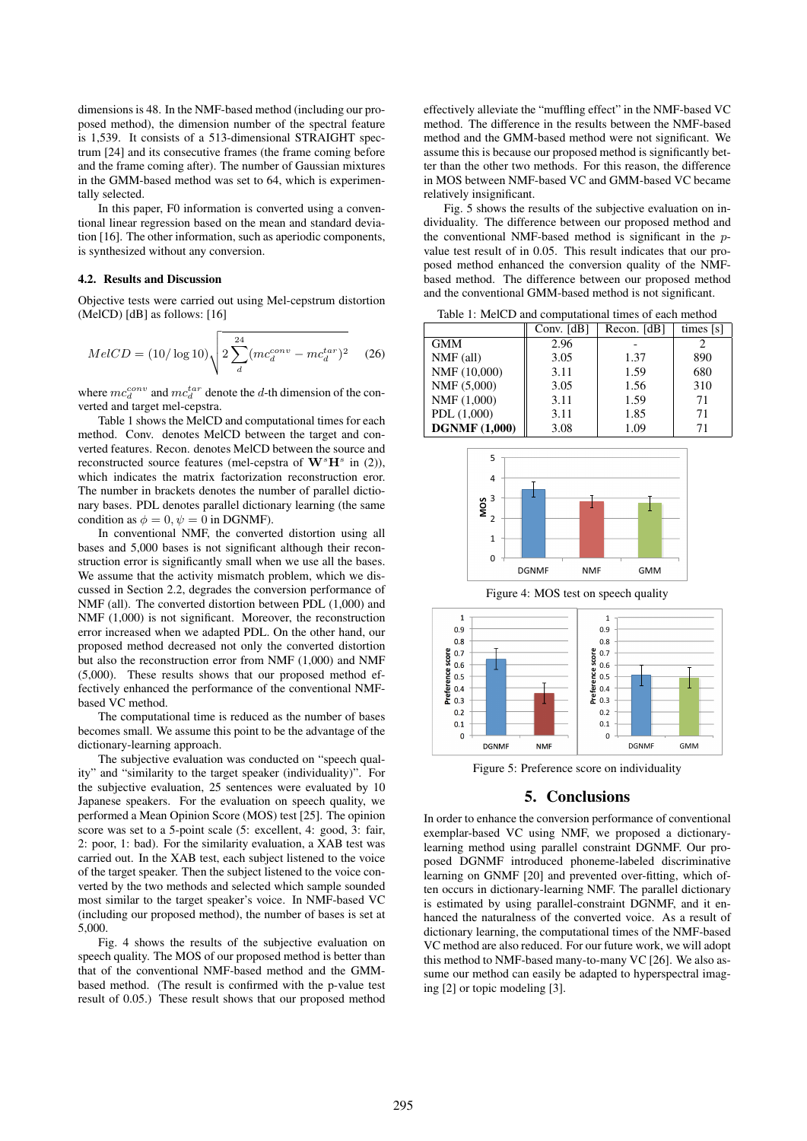dimensions is 48. In the NMF-based method (including our proposed method), the dimension number of the spectral feature is 1,539. It consists of a 513-dimensional STRAIGHT spectrum [24] and its consecutive frames (the frame coming before and the frame coming after). The number of Gaussian mixtures in the GMM-based method was set to 64, which is experimentally selected.

In this paper, F0 information is converted using a conventional linear regression based on the mean and standard deviation [16]. The other information, such as aperiodic components, is synthesized without any conversion.

#### 4.2. Results and Discussion

Objective tests were carried out using Mel-cepstrum distortion (MelCD) [dB] as follows: [16]

$$
MelCD = (10/\log 10) \sqrt{2 \sum_{d}^{24} (mc_d^{conv} - mc_d^{tar})^2}
$$
 (26)

where  $mc_d^{conv}$  and  $mc_d^{tar}$  denote the d-th dimension of the converted and target mel-cepstra.

Table 1 shows the MelCD and computational times for each method. Conv. denotes MelCD between the target and converted features. Recon. denotes MelCD between the source and reconstructed source features (mel-cepstra of  $\mathbf{W}^{s} \mathbf{H}^{s}$  in (2)), which indicates the matrix factorization reconstruction eror. The number in brackets denotes the number of parallel dictionary bases. PDL denotes parallel dictionary learning (the same condition as  $\phi = 0$ ,  $\psi = 0$  in DGNMF).

In conventional NMF, the converted distortion using all bases and 5,000 bases is not significant although their reconstruction error is significantly small when we use all the bases. We assume that the activity mismatch problem, which we discussed in Section 2.2, degrades the conversion performance of NMF (all). The converted distortion between PDL (1,000) and NMF (1,000) is not significant. Moreover, the reconstruction error increased when we adapted PDL. On the other hand, our proposed method decreased not only the converted distortion but also the reconstruction error from NMF (1,000) and NMF (5,000). These results shows that our proposed method effectively enhanced the performance of the conventional NMFbased VC method.

The computational time is reduced as the number of bases becomes small. We assume this point to be the advantage of the dictionary-learning approach.

The subjective evaluation was conducted on "speech quality" and "similarity to the target speaker (individuality)". For the subjective evaluation, 25 sentences were evaluated by 10 Japanese speakers. For the evaluation on speech quality, we performed a Mean Opinion Score (MOS) test [25]. The opinion score was set to a 5-point scale (5: excellent, 4: good, 3: fair, 2: poor, 1: bad). For the similarity evaluation, a XAB test was carried out. In the XAB test, each subject listened to the voice of the target speaker. Then the subject listened to the voice converted by the two methods and selected which sample sounded most similar to the target speaker's voice. In NMF-based VC (including our proposed method), the number of bases is set at 5,000.

Fig. 4 shows the results of the subjective evaluation on speech quality. The MOS of our proposed method is better than that of the conventional NMF-based method and the GMMbased method. (The result is confirmed with the p-value test result of 0.05.) These result shows that our proposed method

effectively alleviate the "muffling effect" in the NMF-based VC method. The difference in the results between the NMF-based method and the GMM-based method were not significant. We assume this is because our proposed method is significantly better than the other two methods. For this reason, the difference in MOS between NMF-based VC and GMM-based VC became relatively insignificant.

Fig. 5 shows the results of the subjective evaluation on individuality. The difference between our proposed method and the conventional NMF-based method is significant in the pvalue test result of in 0.05. This result indicates that our proposed method enhanced the conversion quality of the NMFbased method. The difference between our proposed method and the conventional GMM-based method is not significant.

Table 1: MelCD and computational times of each method

|                      | Conv. $[dB]$ | Recon. [dB] | times $[s]$ |
|----------------------|--------------|-------------|-------------|
| <b>GMM</b>           | 2.96         |             |             |
| $NMF$ (all)          | 3.05         | 1.37        | 890         |
| NMF (10,000)         | 3.11         | 1.59        | 680         |
| NMF (5,000)          | 3.05         | 1.56        | 310         |
| NMF(1,000)           | 3.11         | 1.59        | 71          |
| PDL(1,000)           | 3.11         | 1.85        | 71          |
| <b>DGNMF</b> (1,000) | 3.08         | 1.09        | 71          |



Figure 4: MOS test on speech quality



Figure 5: Preference score on individuality

## 5. Conclusions

In order to enhance the conversion performance of conventional exemplar-based VC using NMF, we proposed a dictionarylearning method using parallel constraint DGNMF. Our proposed DGNMF introduced phoneme-labeled discriminative learning on GNMF [20] and prevented over-fitting, which often occurs in dictionary-learning NMF. The parallel dictionary is estimated by using parallel-constraint DGNMF, and it enhanced the naturalness of the converted voice. As a result of dictionary learning, the computational times of the NMF-based VC method are also reduced. For our future work, we will adopt this method to NMF-based many-to-many VC [26]. We also assume our method can easily be adapted to hyperspectral imaging [2] or topic modeling [3].